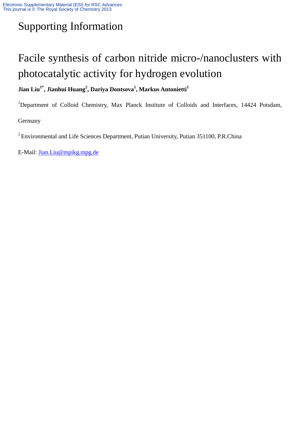## Supporting Information

## Facile synthesis of carbon nitride micro-/nanoclusters with photocatalytic activity for hydrogen evolution

## **Jian Liu1\* , Jianhui Huang<sup>2</sup> , Dariya Dontsova<sup>1</sup> , Markus Antonietti<sup>1</sup>**

<sup>1</sup>Department of Colloid Chemistry, Max Planck Institute of Colloids and Interfaces, 14424 Potsdam, Germany

 $2$  Environmental and Life Sciences Department, Putian University, Putian 351100, P.R.China

E-Mail: [Jian.Liu@mpikg.mpg.de](mailto:Jian.Liu@mpikg.mpg.de)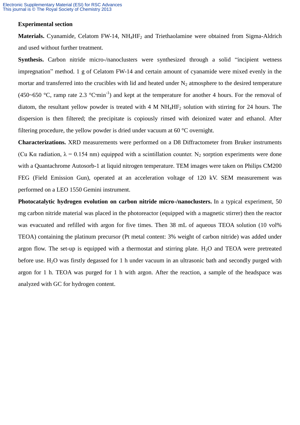## **Experimental section**

**Materials.** Cyanamide, Celatom FW-14, NH<sub>4</sub>HF<sub>2</sub> and Triethaolamine were obtained from Sigma-Aldrich and used without further treatment.

**Synthesis.** Carbon nitride micro-/nanoclusters were synthesized through a solid "incipient wetness" impregnation" method. 1 g of Celatom FW-14 and certain amount of cyanamide were mixed evenly in the mortar and transferred into the crucibles with lid and heated under  $N_2$  atmosphere to the desired temperature (450~650 °C, ramp rate 2.3 °C·min<sup>-1</sup>) and kept at the temperature for another 4 hours. For the removal of diatom, the resultant yellow powder is treated with 4 M NH4HF<sup>2</sup> solution with stirring for 24 hours. The dispersion is then filtered; the precipitate is copiously rinsed with deionized water and ethanol. After filtering procedure, the yellow powder is dried under vacuum at 60 °C overnight.

**Characterizations.** XRD measurements were performed on a D8 Diffractometer from Bruker instruments (Cu Kα radiation,  $\lambda = 0.154$  nm) equipped with a scintillation counter. N<sub>2</sub> sorption experiments were done with a Quantachrome Autosorb-1 at liquid nitrogen temperature. TEM images were taken on Philips CM200 FEG (Field Emission Gun), operated at an acceleration voltage of 120 kV. SEM measurement was performed on a LEO 1550 Gemini instrument.

**Photocatalytic hydrogen evolution on carbon nitride micro-/nanoclusters.** In a typical experiment, 50 mg carbon nitride material was placed in the photoreactor (equipped with a magnetic stirrer) then the reactor was evacuated and refilled with argon for five times. Then 38 mL of aqueous TEOA solution (10 vol%) TEOA) containing the platinum precursor (Pt metal content: 3% weight of carbon nitride) was added under argon flow. The set-up is equipped with a thermostat and stirring plate. H<sub>2</sub>O and TEOA were pretreated before use. H<sub>2</sub>O was firstly degassed for 1 h under vacuum in an ultrasonic bath and secondly purged with argon for 1 h. TEOA was purged for 1 h with argon. After the reaction, a sample of the headspace was analyzed with GC for hydrogen content.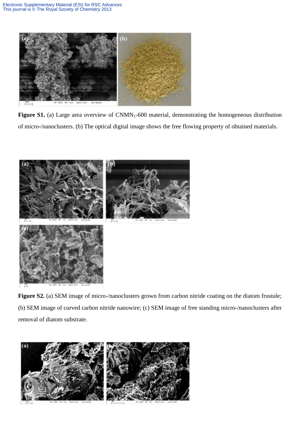

Figure S1. (a) Large area overview of CNMN<sub>1</sub>-600 material, demonstrating the homogeneous distribution of micro-/nanoclusters. (b) The optical digital image shows the free flowing property of obtained materials.



Figure S2. (a) SEM image of micro-/nanoclusters grown from carbon nitride coating on the diatom frustule; (b) SEM image of curved carbon nitride nanowire; (c) SEM image of free standing micro-/nanoclusters after removal of diatom substrate.

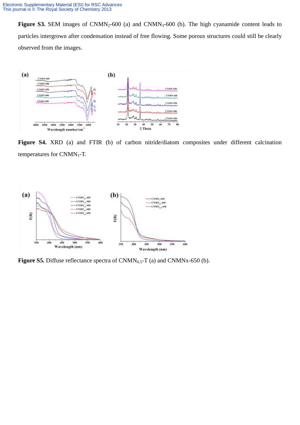Figure S3. SEM images of CNMN<sub>2</sub>-600 (a) and CNMN<sub>3</sub>-600 (b). The high cyanamide content leads to particles intergrown after condensation instead of free flowing. Some porous structures could still be clearly observed from the images.



Figure S4. XRD (a) and FTIR (b) of carbon nitride/diatom composites under different calcination temperatures for  $CNMN_1$ -T.



**Figure S5.** Diffuse reflectance spectra of CNMN<sub>0.5</sub>-T (a) and CNMNx-650 (b).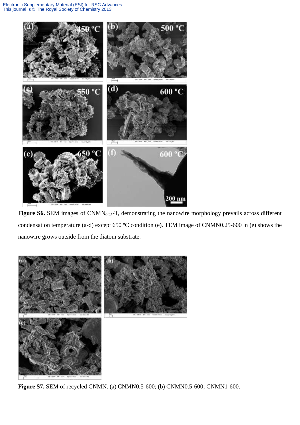

Figure S6. SEM images of CNMN<sub>0.25</sub>-T, demonstrating the nanowire morphology prevails across different condensation temperature (a-d) except 650 ºC condition (e). TEM image of CNMN0.25-600 in (e) shows the nanowire grows outside from the diatom substrate.



**Figure S7.** SEM of recycled CNMN. (a) CNMN0.5-600; (b) CNMN0.5-600; CNMN1-600.